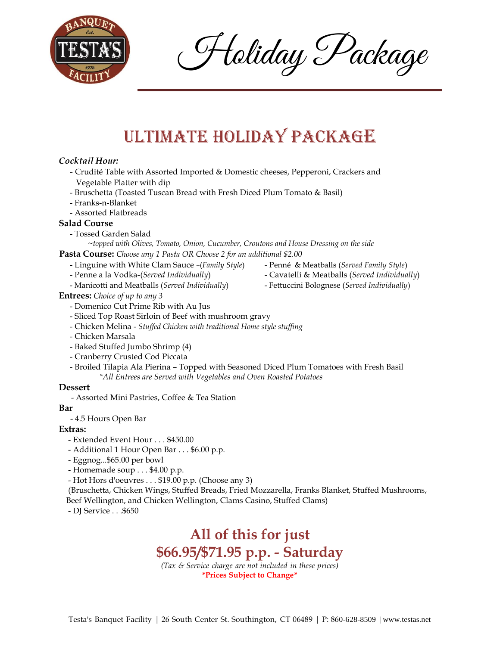

Holiday Package

# Ultimate Holiday Package

### *Cocktail Hour:*

- Crudité Table with Assorted Imported & Domestic cheeses, Pepperoni, Crackers and Vegetable Platter with dip
- Bruschetta (Toasted Tuscan Bread with Fresh Diced Plum Tomato & Basil)
- Franks-n-Blanket
- Assorted Flatbreads

#### **Salad Course**

- Tossed Garden Salad

~*topped with Olives, Tomato, Onion, Cucumber, Croutons and House Dressing on the side*  **Pasta Course:** *Choose any 1 Pasta OR Choose 2 for an additional \$2.00*

- Linguine with White Clam Sauce –(*Family Style*) Penné & Meatballs (*Served Family Style*)
- Penne a la Vodka-(*Served Individually*) Cavatelli & Meatballs (*Served Individually*)
- Manicotti and Meatballs (*Served Individually*) Fettuccini Bolognese (*Served Individually*)
- **Entrees:** *Choice of up to any 3*
	- Domenico Cut Prime Rib with Au Jus
	- Sliced Top Roast Sirloin of Beef with mushroom gravy
	- Chicken Melina *Stuffed Chicken with traditional Home style stuffing*
	- Chicken Marsala
	- Baked Stuffed Jumbo Shrimp (4)
	- Cranberry Crusted Cod Piccata
	- Broiled Tilapia Ala Pierina Topped with Seasoned Diced Plum Tomatoes with Fresh Basil *\*All Entrees are Served with Vegetables and Oven Roasted Potatoes*

#### **Dessert**

- Assorted Mini Pastries, Coffee & Tea Station

#### **Bar**

- 4.5 Hours Open Bar

#### **Extras:**

- Extended Event Hour . . . \$450.00
- Additional 1 Hour Open Bar . . . \$6.00 p.p.
- Eggnog...\$65.00 per bowl
- Homemade soup . . . \$4.00 p.p.
- Hot Hors d'oeuvres . . . \$19.00 p.p. (Choose any 3)

(Bruschetta, Chicken Wings, Stuffed Breads, Fried Mozzarella, Franks Blanket, Stuffed Mushrooms, Beef Wellington, and Chicken Wellington, Clams Casino, Stuffed Clams)

- DJ Service . . .\$650

## **All of this for just \$66.95/\$71.95 p.p. - Saturday** *(Tax & Service charge are not included in these prices)* **\*Prices Subject to Change\***

- 
- 
-